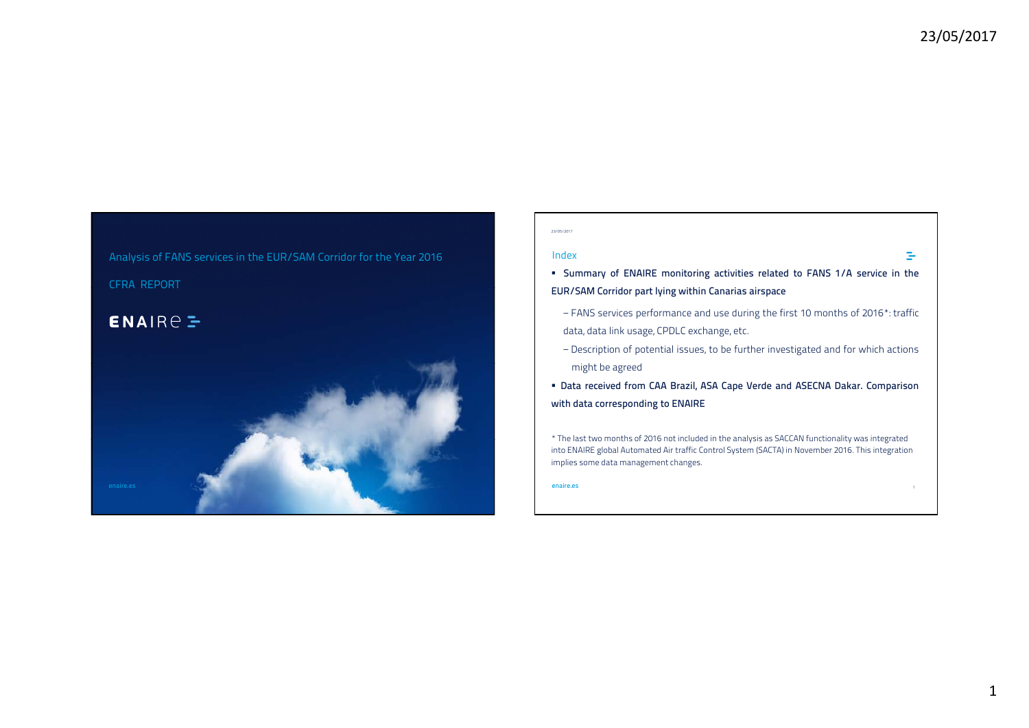# Analysis of FANS services in the EUR/SAM Corridor for the Year 2016 CFRA REPORT

## $ENAIRE$



#### 23/05/2017

### Index

- **Summary of ENAIRE monitoring activities related to FANS 1/A service in the /S C l h C EUR/SAM Corridor part lying within Canarias airspace**
- − FANS services performance and use during the first 10 months of 2016\*: traffic data, data link usage, CPDLC exchange, etc.
- − Description of potential issues, to be further investigated and for which actions might be agreed
- Data received from CAA Brazil, ASA Cape Verde and ASECNA Dakar. Comparison **with data corresponding to ENAIRE**

\* The last two months of 2016 not included in the analysis as SACCAN functionality was integrated into ENAIRE global Automated Air traffic Control System (SACTA) in November 2016. This integration implies some data management changes.

**enaire.es**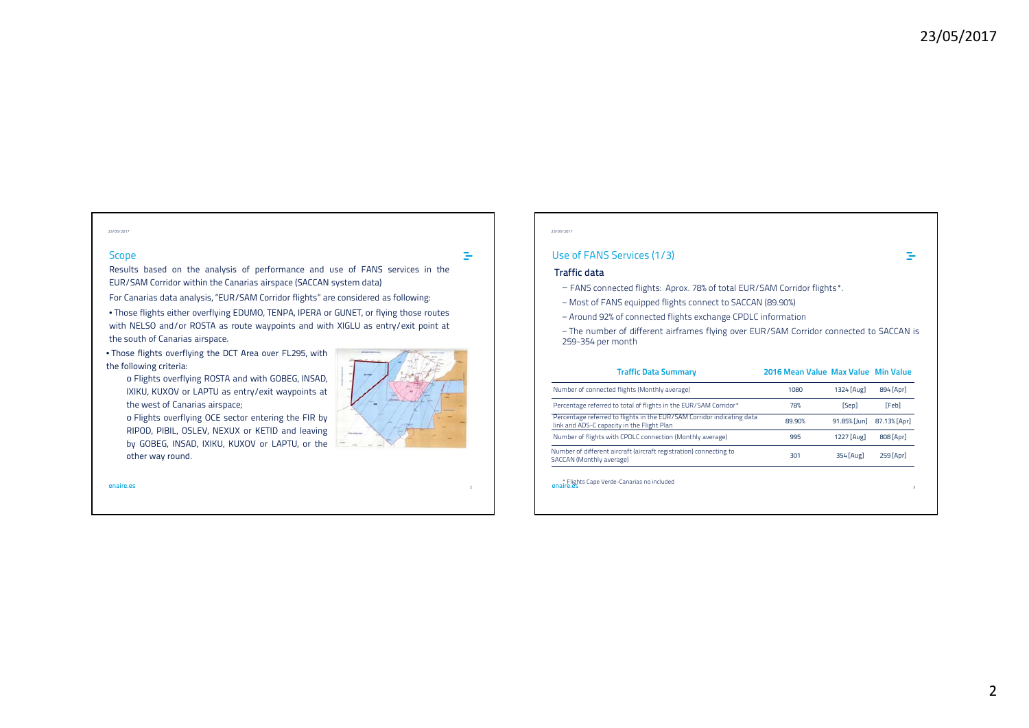#### 23/05/2017

### Scope

 $\equiv$ 

Results based on the analysis of performance and use of FANS services in the EUR/SAM Corridor within the Canarias airspace (SACCAN system data)

For Canarias data analysis, "EUR/SAM Corridor flights" are considered as following:

• Those flights either overflying EDUMO, TENPA, IPERA or GUNET, or flying those routes with NELSO and/or ROSTA as route waypoints and with XIGLU as entry/exit point at the south of Canarias airspace.

• Those flights overflying the DCT Area over FL295, with the following criteria:

o Flights overflying ROSTA and with GOBEG, INSAD, IXIKU, KUXOV or LAPTU as entry/exit waypoints at the west of Canarias airspace;

o Flights overflying OCE sector entering the FIR by RIPOD, PIBIL, OSLEV, NEXUX or KETID and leaving by GOBEG, INSAD, IXIKU, KUXOV or LAPTU, or the other way round.

**enaire.es**s and the contract of the contract of the contract of the contract of the contract of the contract of the contract of the contract of the contract of the contract of the contract of the contract of the contract of the cont

#### 23/05/2017

### Use of FANS Services (1/3)

#### **Traffic data**

- − FANS connected flights: Aprox. 78% of total EUR/SAM Corridor flights\*.
- − Most of FANS equipped flights connect to SACCAN (89.90%)
- − Around 92% of connected flights exchange CPDLC information

− The number of different airframes flying over EUR/SAM Corridor connected to SACCAN is 259-354 per month

| <b>Traffic Data Summary</b>                                                                                          | 2016 Mean Value Max Value Min Value |              |              |
|----------------------------------------------------------------------------------------------------------------------|-------------------------------------|--------------|--------------|
| Number of connected flights (Monthly average)                                                                        | 1080                                | 1324 [Aug]   | 894 [Apr]    |
| Percentage referred to total of flights in the EUR/SAM Corridor*                                                     | 78%                                 | [Sep]        | [Feb]        |
| Percentage referred to flights in the EUR/SAM Corridor indicating data<br>link and ADS-C capacity in the Flight Plan | 89.90%                              | 91.85% [Jun] | 87.13% [Apr] |
| Number of flights with CPDLC connection (Monthly average)                                                            | 995                                 | 1227 [Aug]   | 808 [Apr]    |
| Number of different aircraft (aircraft registration) connecting to<br>SACCAN (Monthly average)                       | 301                                 | 354 [Aug]    | 259 [Apr]    |
| * Flights Cape Verde-Canarias no included<br>enaire.es                                                               |                                     |              | 3            |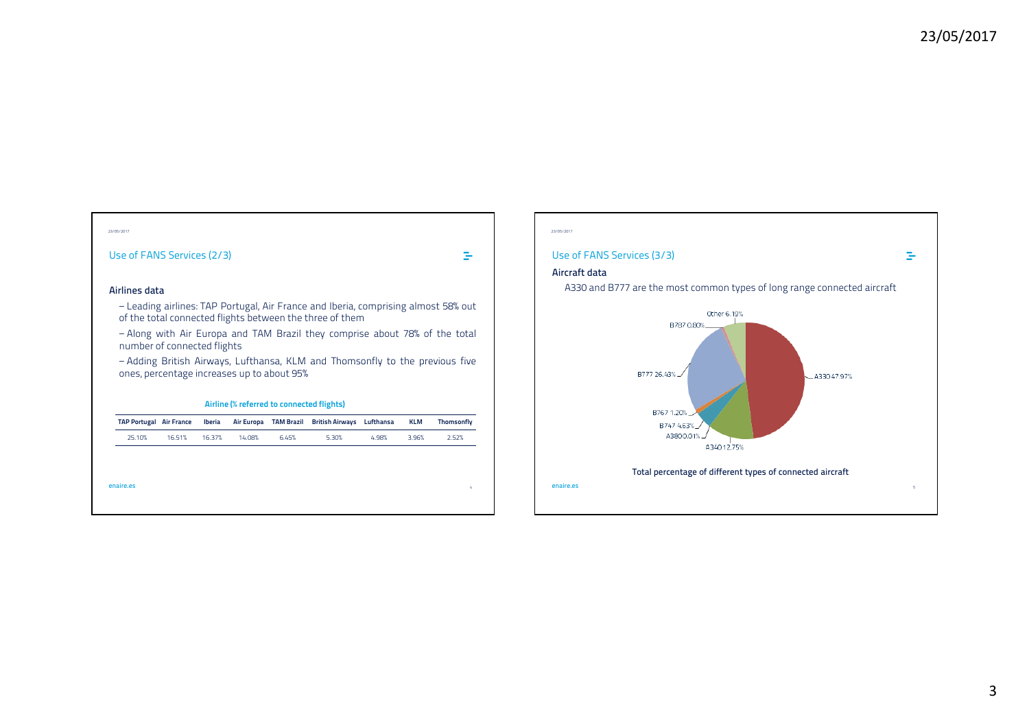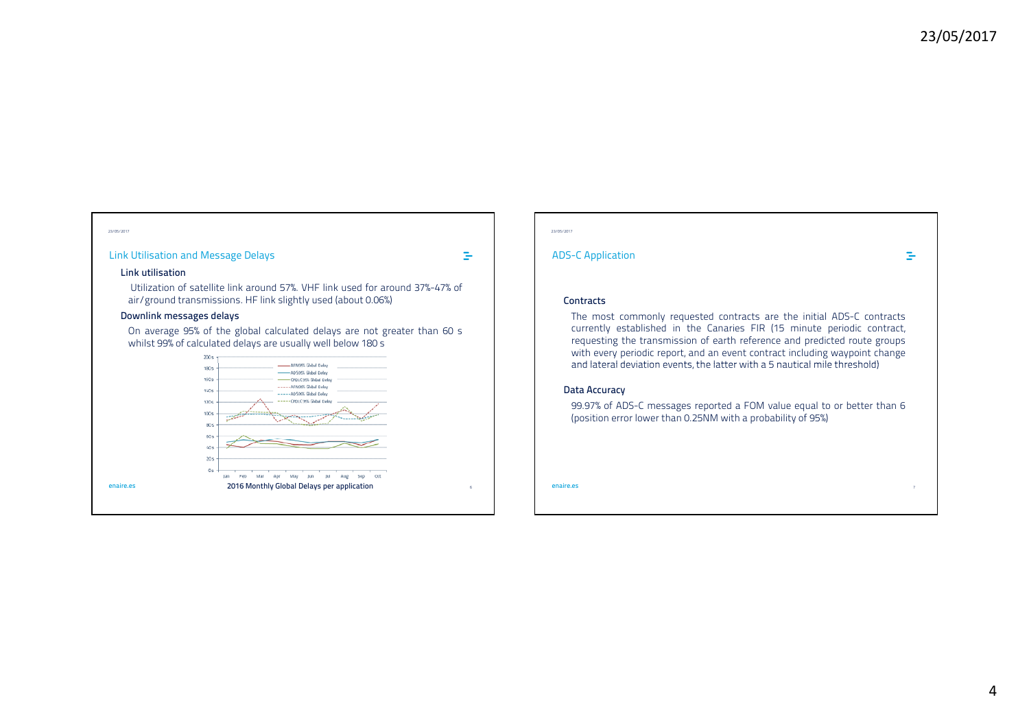### Link Utilisation and Message Delays

 $\equiv$ 

#### **Link utilisation**

Utilization of satellite link around 57%. VHF link used for around 37%-47% of air/ground transmissions. HF link slightly used (about 0.06%)

### **Downlink messages delays**

On average 95% of the global calculated delays are not greater than 60 <sup>s</sup> whilst 99% of calculated delays are usually well below 180 <sup>s</sup>



#### 23/05/2017

### ADS-C Application

 $\equiv$ 

### **Contracts**

The most commonly requested contracts are the initial ADS-C contracts currently established in the Canaries FIR (15 minute periodic contract, requesting the transmission of earth reference and predicted route groups with every periodic report, and an event contract including waypoint change and lateral deviation events, the latter with <sup>a</sup> 5 nautical mile threshold)

#### **Data Accuracy**

99.97% of ADS-C messages reported <sup>a</sup> FOM value equal to or better than 6 (position error lower than 0.25NM with <sup>a</sup> probability of 95%)

**enaire.es** $\sim$  7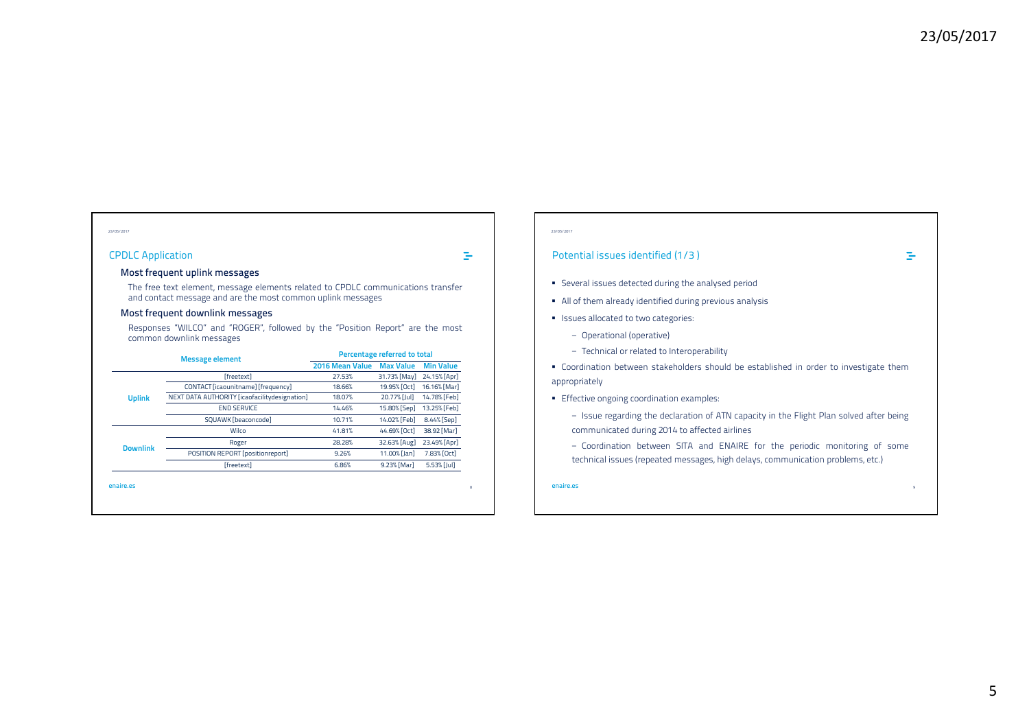### CPDLC Application

 $\Rightarrow$ 

#### **Most frequent uplink messages**

The free text element, message elements related to CPDLC communications transfer and contact message and are the most common uplink messages

### **Most frequent downlink messages**

Responses "WILCO" and "ROGER", followed by the "Position Report" are the most common downlink messages

| <b>Message element</b> |                                               | Percentage referred to total |                  |                  |
|------------------------|-----------------------------------------------|------------------------------|------------------|------------------|
|                        |                                               | 2016 Mean Value              | <b>Max Value</b> | <b>Min Value</b> |
|                        | [freetext]                                    | 27.53%                       | 31.73% [May]     | 24.15% [Apr]     |
|                        | CONTACT [icaounitname] [frequency]            | 18.66%                       | 19.95% [Oct]     | 16.16% [Mar]     |
| <b>Uplink</b>          | NEXT DATA AUTHORITY [icaofacilitydesignation] | 18.07%                       | 20.77% [Jul]     | 14.78% [Feb]     |
|                        | <b>END SERVICE</b>                            | 14.46%                       | 15.80% [Sep]     | 13.25% [Feb]     |
|                        | SQUAWK [beaconcode]                           | 10.71%                       | 14.02% [Feb]     | 8.44% [Sep]      |
| <b>Downlink</b>        | Wilco                                         | 41.81%                       | 44.69% [Oct]     | 38.92 [Mar]      |
|                        | Roger                                         | 28.28%                       | 32.63% [Aug]     | 23.49% [Apr]     |
|                        | POSITION REPORT [positionreport]              | 9.26%                        | 11.00% [Jan]     | 7.83% [Oct]      |
|                        | [freetext]                                    | 6.86%                        | 9.23% [Mar]      | 5.53% [Jul]      |

#### 23/05/2017

### Potential issues identified (1/3 )

- **Several issues detected during the analysed period**
- All of them already identified during previous analysis
- **In Issues allocated to two categories:** 
	- − Operational (operative)
	- − Technical or related to Interoperability

 Coordination between stakeholders should be established in order to investigate them appropriately

- **Effective ongoing coordination examples:** 
	- − Issue regarding the declaration of ATN capacity in the Flight Plan solved after being communicated during 2014 to affected airlines
	- − Coordination between SITA and ENAIRE for the periodic monitoring of some technical issues (repeated messages, high delays, communication problems, etc.)

**enaire.es**

9

 $\equiv$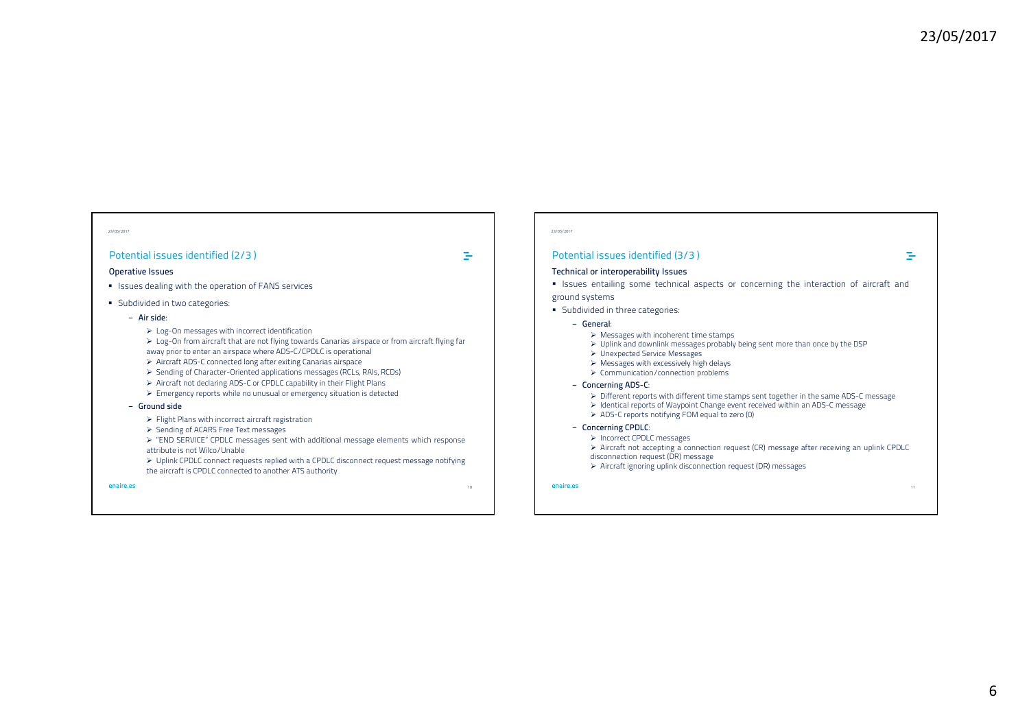#### 23/05/2017

### Potential issues identified (2/3 )

#### **Operative Issues**

- **I** Issues dealing with the operation of FANS services
- **Subdivided in two categories:** 
	- **− Air side**:
		- ▶ Log-On messages with incorrect identification
		- $\triangleright$  Log-On from aircraft that are not flying towards Canarias airspace or from aircraft flying far
		- away prior to enter an airspace where ADS-C/CPDLC is operational
		- $\triangleright$  Aircraft ADS-C connected long after exiting Canarias airspace
		- Sending of Character-Oriented applications messages (RCLs, RAIs, RCDs)
		- Aircraft not declaring ADS-C or CPDLC capability in their Flight Plans
		- Emergency reports while no unusual or emergency situation is detected

#### **− Ground side**

- Flight Plans with incorrect aircraft registration
- Sending of ACARS Free Text messages
- ▶ "END SERVICE" CPDLC messages sent with additional message elements which response
- attribute is not Wilco/Unable
- $\triangleright$  Uplink CPDLC connect requests replied with a CPDLC disconnect request message notifying the aircraft is CPDLC connected to another ATS authority

**enaire.es**

10

 $\equiv$ 

#### 23/05/2017

#### Potential issues identified (3/3 )

#### **Technical or interoperability Issues**

**Example 1** Issues entailing some technical aspects or concerning the interaction of aircraft and ground systems

- **Subdivided in three categories:** 
	- **− General**:
		- $\triangleright$  Messages with incoherent time stamps
		- $\triangleright$  Uplink and downlink messages probably being sent more than once by the DSP
		- Unexpected Service Messages
		- $\triangleright$  Messages with excessively high delays
		- Communication/connection problems
	- **− Concerning ADS-C**:
		- $\triangleright$  Different reports with different time stamps sent together in the same ADS-C message
		- Identical reports of Waypoint Change event received within an ADS-C message
		- ADS-C reports notifying FOM equal to zero (0)
	- **− Concerning CPDLC**:
	- > Incorrect CPDLC messages
	- $\triangleright$  Aircraft not accepting a connection request (CR) message after receiving an uplink CPDLC
	- disconnection request (DR) message
	- $\triangleright$  Aircraft ignoring uplink disconnection request (DR) messages

**enaire.es**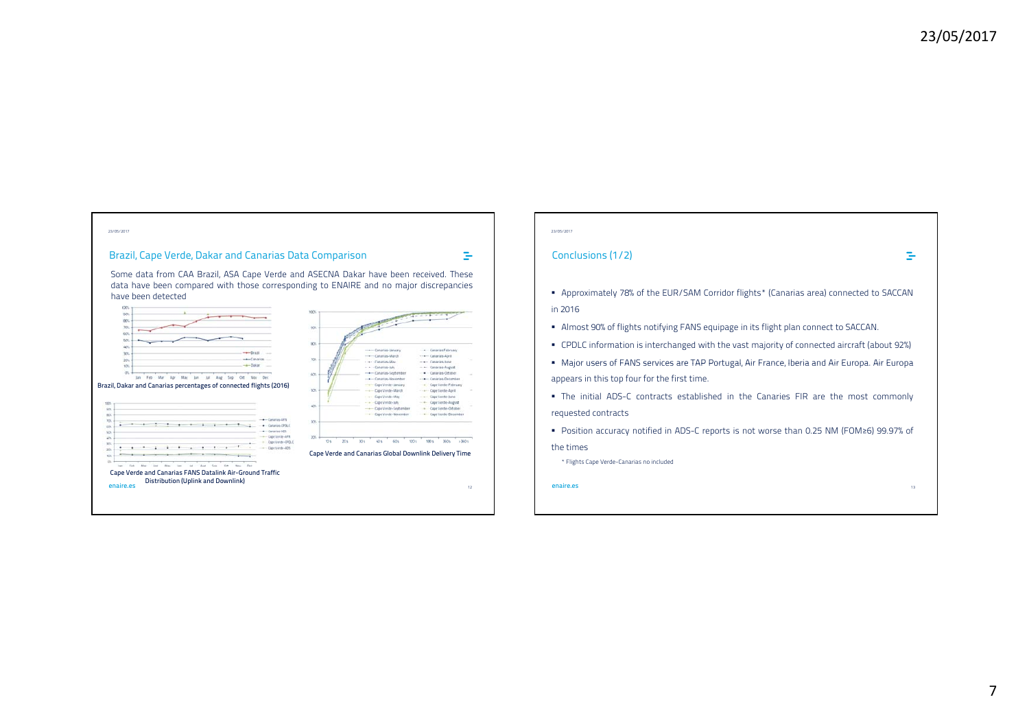### Brazil, Cape Verde, Dakar and Canarias Data Comparison

Some data from CAA Brazil, ASA Cape Verde and ASECNA Dakar have been received. These data have been compared with those corresponding to ENAIRE and no major discrepancies have been detected



#### 23/05/2017

 $\equiv$ 

### Conclusions (1/2)

#### $\equiv$

13

- Approximately 78% of the EUR/SAM Corridor flights\* (Canarias area) connected to SACCAN in 2016
- Almost 90% of flights notifying FANS equipage in its flight plan connect to SACCAN.
- CPDLC information is interchanged with the vast majority of connected aircraft (about 92%)
- Major users of FANS services are TAP Portugal, Air France, Iberia and Air Europa. Air Europa. Air Europa appears in this top four for the first time.
- The initial ADS-C contracts established in the Canaries FIR are the most commonly requested contracts
- Position accuracy notified in ADS-C reports is not worse than 0.25 NM (FOM≥6) 99.97% of the times

\* Flights Cape Verde-Canarias no included

**enaire.es**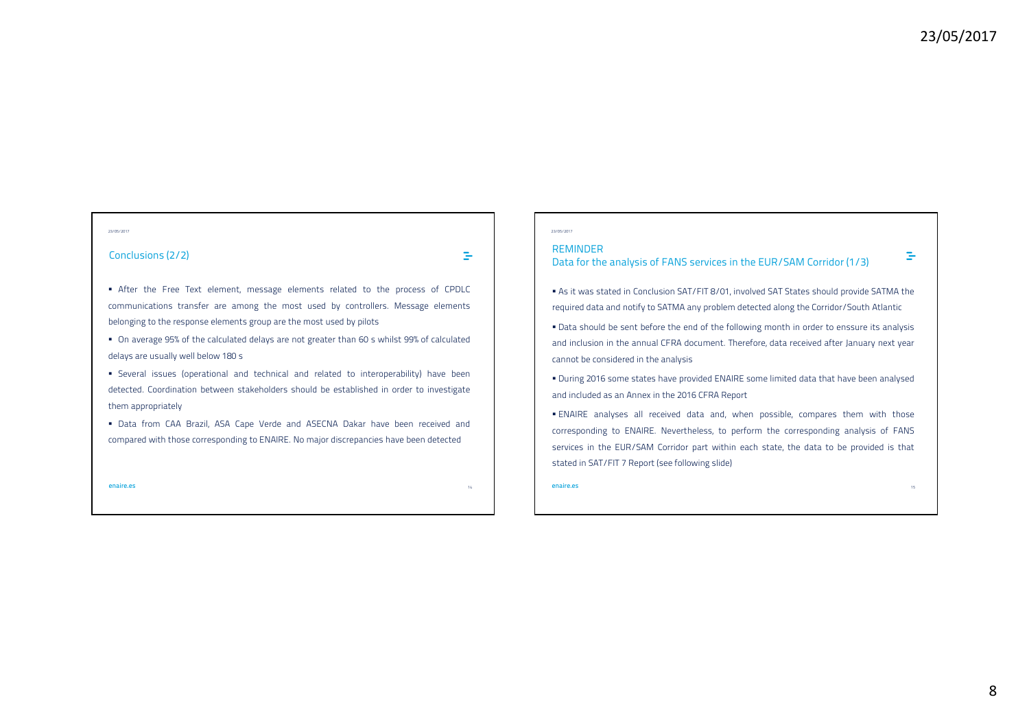#### 23/05/2017

### Conclusions (2/2)

 $\equiv$ 

 $\overline{\ }$  After the Free Text element, message elements related to the process of CPDLC communications transfer are among the most used by controllers. Message elements belonging to the response elements group are the most used by pilots

 On average 95% of the calculated delays are not greater than 60 <sup>s</sup> whilst 99% of calculated delays are usually well below 180 <sup>s</sup>

 Several issues (operational and technical and related to interoperability) have been detected. Coordination between stakeholders should be established in order to investigate them appropriately

 Data from CAA Brazil, ASA Cape Verde and ASECNA Dakar have been received and compared with those corresponding to ENAIRE. No major discrepancies have been detected

**enaire.es**

14

#### 23/05/2017

#### REMINDER

## Data for the analysis of FANS services in the EUR/SAM Corridor (1/3)

 As it was stated in Conclusion SAT/FIT 8/01, involved SAT States should provide SATMA the required data and notify to SATMA any problem detected along the Corridor/South Atlantic

- Data should be sent before the end of the following month in order to enssure its analysis and inclusion in the annual CFRA document. Therefore, data received after January next year cannot be considered in the analysis
- During 2016 some states have provided ENAIRE some limited data that have been analysed and included as an Annex in the 2016 CFRA Report
- ENAIRE analyses all received data and, when possible, compares them with those corresponding to ENAIRE. Nevertheless, to perform the corresponding analysis of FANS services in the EUR/SAM Corridor part within each state, the data to be provided is that stated in SAT/FIT <sup>7</sup> Report (see following slide)

**enaire.es**s and the contract of the contract of the contract of the contract of the contract of the contract of the contract of the contract of the contract of the contract of the contract of the contract of the contract of the cont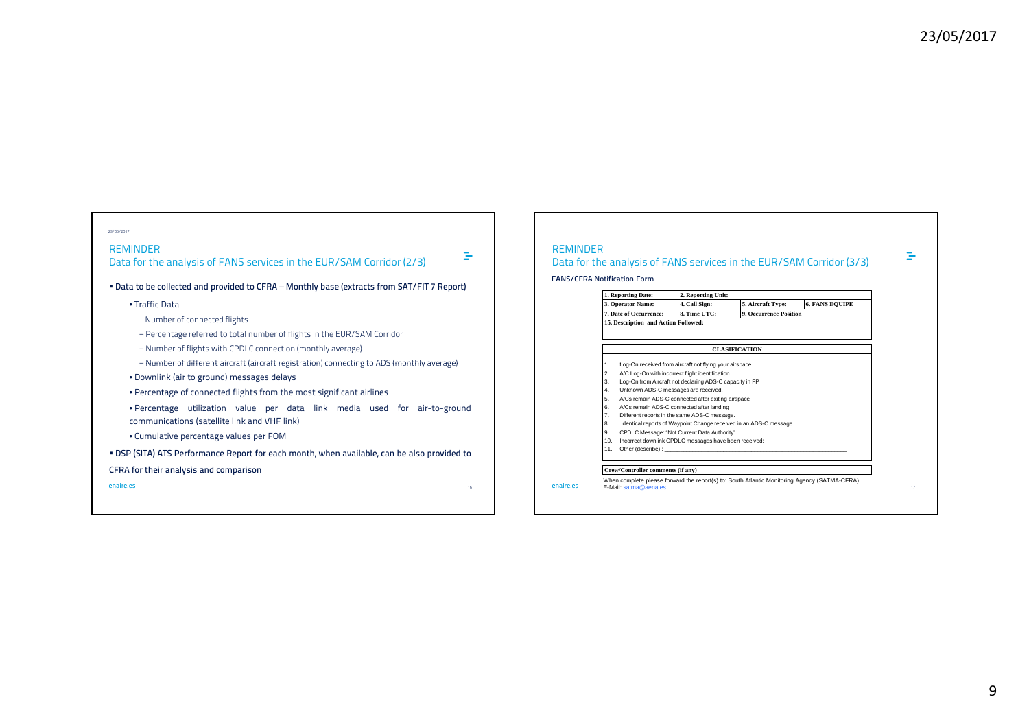÷

#### 23/05/2017

### REMINDER

Data for the analysis of FANS services in the EUR/SAM Corridor (2/3)

 $\Rightarrow$ 

**Data to be collected and provided to CFRA – Monthly base (extracts from SAT/FIT <sup>7</sup> Report)**

#### • Traffic Data

− Number of connected flights

− Percentage referred to total number of flights in the EUR/SAM Corridor

− Number of flights with CPDLC connection (monthly average)

− Number of different aircraft (aircraft registration) connecting to ADS (monthly average)

• Downlink (air to ground) messages delays

• Percentage of connected flights from the most significant airlines

• Percentage utilization value per data link media used for air-to-ground communications (satellite link and VHF link)

• Cumulative percentage values per FOM

· DSP (SITA) ATS Performance Report for each month, when available, can be also provided to **CFRA for their analysis and comparison**

**enaire.es** $\mathsf S$  . The contract of the contract of the contract of the contract of the contract of the contract of the contract of the contract of the contract of the contract of the contract of the contract of the contract of the

### REMINDER

**enaire.es**

### Data for the analysis of FANS services in the EUR/SAM Corridor (3/3)

**FANS/CFRA Notification Form**

|                        | 1. Reporting Date:                                                                                                                                                                                                             | 2. Reporting Unit:                                     |                      |                                                                                              |  |
|------------------------|--------------------------------------------------------------------------------------------------------------------------------------------------------------------------------------------------------------------------------|--------------------------------------------------------|----------------------|----------------------------------------------------------------------------------------------|--|
|                        | 3. Operator Name:                                                                                                                                                                                                              | 4. Call Sign:                                          | 5. Aircraft Type:    | <b>6. FANS EQUIPE</b>                                                                        |  |
| 7. Date of Occurrence: |                                                                                                                                                                                                                                | 8. Time UTC:                                           |                      | <b>9. Occurrence Position</b>                                                                |  |
|                        | 15. Description and Action Followed:                                                                                                                                                                                           |                                                        |                      |                                                                                              |  |
|                        |                                                                                                                                                                                                                                |                                                        |                      |                                                                                              |  |
|                        |                                                                                                                                                                                                                                |                                                        | <b>CLASIFICATION</b> |                                                                                              |  |
| 1.                     |                                                                                                                                                                                                                                | Log-On received from aircraft not flying your airspace |                      |                                                                                              |  |
| 2.                     | A/C Log-On with incorrect flight identification                                                                                                                                                                                |                                                        |                      |                                                                                              |  |
| 3.                     | Log-On from Aircraft not declaring ADS-C capacity in FP                                                                                                                                                                        |                                                        |                      |                                                                                              |  |
| 4.                     | Unknown ADS-C messages are received.                                                                                                                                                                                           |                                                        |                      |                                                                                              |  |
| 5.                     | A/Cs remain ADS-C connected after exiting airspace                                                                                                                                                                             |                                                        |                      |                                                                                              |  |
| 6.                     | A/Cs remain ADS-C connected after landing                                                                                                                                                                                      |                                                        |                      |                                                                                              |  |
| 7.                     | Different reports in the same ADS-C message.                                                                                                                                                                                   |                                                        |                      |                                                                                              |  |
| 8.                     | Identical reports of Waypoint Change received in an ADS-C message                                                                                                                                                              |                                                        |                      |                                                                                              |  |
| 9.                     | CPDLC Message: "Not Current Data Authority"                                                                                                                                                                                    |                                                        |                      |                                                                                              |  |
| 10.                    | Incorrect downlink CPDLC messages have been received:                                                                                                                                                                          |                                                        |                      |                                                                                              |  |
| 11.                    | Other (describe): The contract of the contract of the contract of the contract of the contract of the contract of the contract of the contract of the contract of the contract of the contract of the contract of the contract |                                                        |                      |                                                                                              |  |
|                        |                                                                                                                                                                                                                                |                                                        |                      |                                                                                              |  |
|                        | Crew/Controller comments (if any)                                                                                                                                                                                              |                                                        |                      |                                                                                              |  |
|                        | E-Mail: satma@aena.es                                                                                                                                                                                                          |                                                        |                      | When complete please forward the report(s) to: South Atlantic Monitoring Agency (SATMA-CFRA) |  |